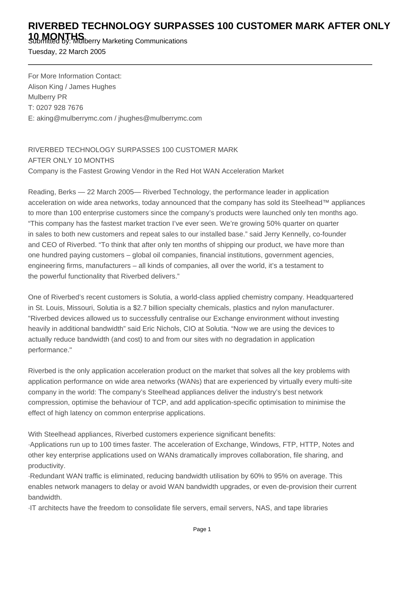## **RIVERBED TECHNOLOGY SURPASSES 100 CUSTOMER MARK AFTER ONLY**

**10 MONTHS** Submitted by: Mulberry Marketing Communications

Tuesday, 22 March 2005

For More Information Contact: Alison King / James Hughes Mulberry PR T: 0207 928 7676 E: aking@mulberrymc.com / jhughes@mulberrymc.com

RIVERBED TECHNOLOGY SURPASSES 100 CUSTOMER MARK AFTER ONLY 10 MONTHS Company is the Fastest Growing Vendor in the Red Hot WAN Acceleration Market

Reading, Berks — 22 March 2005— Riverbed Technology, the performance leader in application acceleration on wide area networks, today announced that the company has sold its Steelhead™ appliances to more than 100 enterprise customers since the company's products were launched only ten months ago. "This company has the fastest market traction I've ever seen. We're growing 50% quarter on quarter in sales to both new customers and repeat sales to our installed base." said Jerry Kennelly, co-founder and CEO of Riverbed. "To think that after only ten months of shipping our product, we have more than one hundred paying customers – global oil companies, financial institutions, government agencies, engineering firms, manufacturers – all kinds of companies, all over the world, it's a testament to the powerful functionality that Riverbed delivers."

One of Riverbed's recent customers is Solutia, a world-class applied chemistry company. Headquartered in St. Louis, Missouri, Solutia is a \$2.7 billion specialty chemicals, plastics and nylon manufacturer. "Riverbed devices allowed us to successfully centralise our Exchange environment without investing heavily in additional bandwidth" said Eric Nichols, CIO at Solutia. "Now we are using the devices to actually reduce bandwidth (and cost) to and from our sites with no degradation in application performance."

Riverbed is the only application acceleration product on the market that solves all the key problems with application performance on wide area networks (WANs) that are experienced by virtually every multi-site company in the world: The company's Steelhead appliances deliver the industry's best network compression, optimise the behaviour of TCP, and add application-specific optimisation to minimise the effect of high latency on common enterprise applications.

With Steelhead appliances, Riverbed customers experience significant benefits:

· Applications run up to 100 times faster. The acceleration of Exchange, Windows, FTP, HTTP, Notes and other key enterprise applications used on WANs dramatically improves collaboration, file sharing, and productivity.

· Redundant WAN traffic is eliminated, reducing bandwidth utilisation by 60% to 95% on average. This enables network managers to delay or avoid WAN bandwidth upgrades, or even de-provision their current bandwidth.

· IT architects have the freedom to consolidate file servers, email servers, NAS, and tape libraries